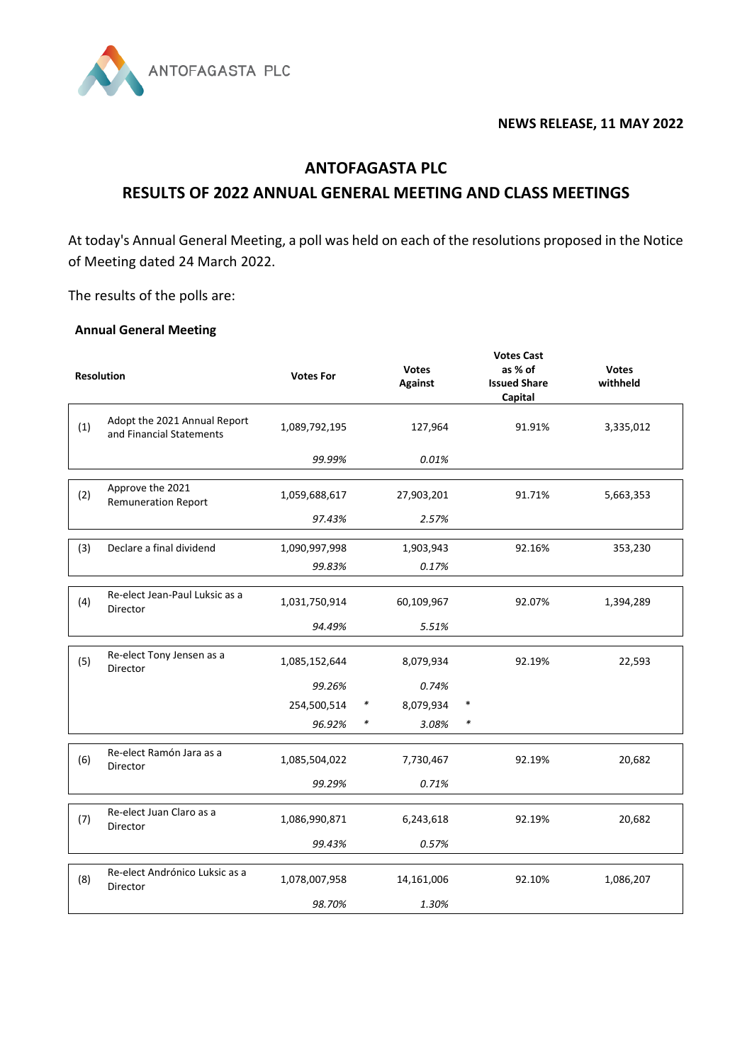

## **NEWS RELEASE, 11 MAY 2022**

## **ANTOFAGASTA PLC RESULTS OF 2022 ANNUAL GENERAL MEETING AND CLASS MEETINGS**

At today's Annual General Meeting, a poll was held on each of the resolutions proposed in the Notice of Meeting dated 24 March 2022.

The results of the polls are:

## **Annual General Meeting**

|     |                                                          |                  |        | <b>Votes Cast</b>              |                                           |                          |  |  |
|-----|----------------------------------------------------------|------------------|--------|--------------------------------|-------------------------------------------|--------------------------|--|--|
|     | <b>Resolution</b>                                        | <b>Votes For</b> |        | <b>Votes</b><br><b>Against</b> | as % of<br><b>Issued Share</b><br>Capital | <b>Votes</b><br>withheld |  |  |
| (1) | Adopt the 2021 Annual Report<br>and Financial Statements | 1,089,792,195    |        | 127,964                        | 91.91%                                    | 3,335,012                |  |  |
|     |                                                          | 99.99%           |        | 0.01%                          |                                           |                          |  |  |
| (2) | Approve the 2021<br><b>Remuneration Report</b>           | 1,059,688,617    |        | 27,903,201                     | 91.71%                                    | 5,663,353                |  |  |
|     |                                                          | 97.43%           |        | 2.57%                          |                                           |                          |  |  |
| (3) | Declare a final dividend                                 | 1,090,997,998    |        | 1,903,943                      | 92.16%                                    | 353,230                  |  |  |
|     |                                                          | 99.83%           |        | 0.17%                          |                                           |                          |  |  |
| (4) | Re-elect Jean-Paul Luksic as a<br>Director               | 1,031,750,914    |        | 60,109,967                     | 92.07%                                    | 1,394,289                |  |  |
|     |                                                          | 94.49%           |        | 5.51%                          |                                           |                          |  |  |
| (5) | Re-elect Tony Jensen as a<br>Director                    | 1,085,152,644    |        | 8,079,934                      | 92.19%                                    | 22,593                   |  |  |
|     |                                                          | 99.26%           |        | 0.74%                          |                                           |                          |  |  |
|     |                                                          | 254,500,514      | $\ast$ | 8,079,934                      | $\ast$                                    |                          |  |  |
|     |                                                          | 96.92%           | $\ast$ | 3.08%                          | $\ast$                                    |                          |  |  |
| (6) | Re-elect Ramón Jara as a<br>Director                     | 1,085,504,022    |        | 7,730,467                      | 92.19%                                    | 20,682                   |  |  |
|     |                                                          | 99.29%           |        | 0.71%                          |                                           |                          |  |  |
| (7) | Re-elect Juan Claro as a<br>Director                     | 1,086,990,871    |        | 6,243,618                      | 92.19%                                    | 20,682                   |  |  |
|     |                                                          | 99.43%           |        | 0.57%                          |                                           |                          |  |  |
| (8) | Re-elect Andrónico Luksic as a<br>Director               | 1,078,007,958    |        | 14,161,006                     | 92.10%                                    | 1,086,207                |  |  |
|     |                                                          | 98.70%           |        | 1.30%                          |                                           |                          |  |  |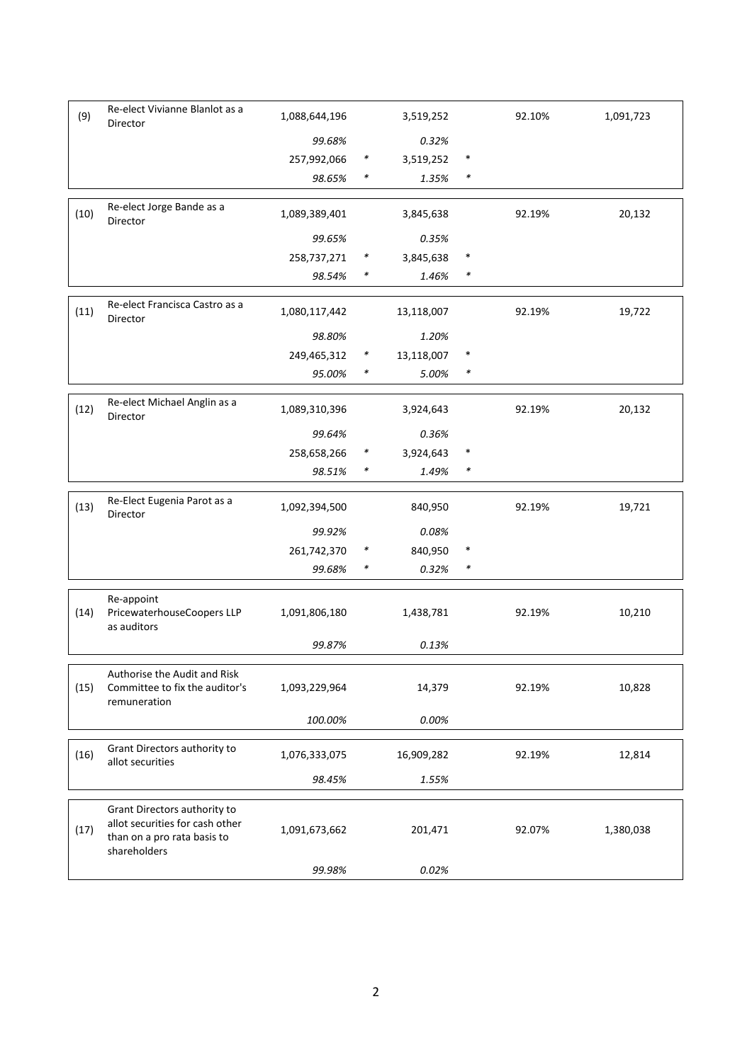| (9)  | Re-elect Vivianne Blanlot as a<br>Director                                                                     | 1,088,644,196           |        | 3,519,252        |        | 92.10% | 1,091,723 |
|------|----------------------------------------------------------------------------------------------------------------|-------------------------|--------|------------------|--------|--------|-----------|
|      |                                                                                                                | 99.68%                  |        | 0.32%            |        |        |           |
|      |                                                                                                                | 257,992,066             | $\ast$ | 3,519,252        | $\ast$ |        |           |
|      |                                                                                                                | 98.65%                  | $\ast$ | 1.35%            | $\ast$ |        |           |
|      | Re-elect Jorge Bande as a                                                                                      |                         |        |                  |        |        |           |
| (10) | Director                                                                                                       | 1,089,389,401           |        | 3,845,638        |        | 92.19% | 20,132    |
|      |                                                                                                                | 99.65%                  |        | 0.35%            |        |        |           |
|      |                                                                                                                | 258,737,271             | $\ast$ | 3,845,638        | $\ast$ |        |           |
|      |                                                                                                                | 98.54%                  | *      | 1.46%            | $\ast$ |        |           |
| (11) | Re-elect Francisca Castro as a<br>Director                                                                     | 1,080,117,442           |        | 13,118,007       |        | 92.19% | 19,722    |
|      |                                                                                                                | 98.80%                  |        | 1.20%            |        |        |           |
|      |                                                                                                                | 249,465,312             | $\ast$ | 13,118,007       | $\ast$ |        |           |
|      |                                                                                                                | 95.00%                  | $\ast$ | 5.00%            | $\ast$ |        |           |
| (12) | Re-elect Michael Anglin as a<br>Director                                                                       | 1,089,310,396           |        | 3,924,643        |        | 92.19% | 20,132    |
|      |                                                                                                                | 99.64%                  |        | 0.36%            |        |        |           |
|      |                                                                                                                | 258,658,266             | $\ast$ | 3,924,643        | $\ast$ |        |           |
|      |                                                                                                                | 98.51%                  | $\ast$ | 1.49%            | $\ast$ |        |           |
| (13) | Re-Elect Eugenia Parot as a<br>Director                                                                        | 1,092,394,500           |        | 840,950          |        | 92.19% | 19,721    |
|      |                                                                                                                | 99.92%                  |        | 0.08%            |        |        |           |
|      |                                                                                                                | 261,742,370             | $\ast$ | 840,950          | $\ast$ |        |           |
|      |                                                                                                                | 99.68%                  | $\ast$ | 0.32%            | $\ast$ |        |           |
|      | Re-appoint                                                                                                     |                         |        |                  |        |        |           |
| (14) | PricewaterhouseCoopers LLP<br>as auditors                                                                      | 1,091,806,180           |        | 1,438,781        |        | 92.19% | 10,210    |
|      |                                                                                                                | 99.87%                  |        | 0.13%            |        |        |           |
| (15) | Authorise the Audit and Risk<br>Committee to fix the auditor's<br>remuneration                                 | 1,093,229,964           |        | 14,379           |        | 92.19% | 10,828    |
|      |                                                                                                                | 100.00%                 |        | 0.00%            |        |        |           |
|      |                                                                                                                |                         |        |                  |        |        |           |
| (16) | Grant Directors authority to<br>allot securities                                                               | 1,076,333,075           |        | 16,909,282       |        | 92.19% | 12,814    |
|      |                                                                                                                | 98.45%                  |        | 1.55%            |        |        |           |
| (17) | Grant Directors authority to<br>allot securities for cash other<br>than on a pro rata basis to<br>shareholders | 1,091,673,662<br>99.98% |        | 201,471<br>0.02% |        | 92.07% | 1,380,038 |
|      |                                                                                                                |                         |        |                  |        |        |           |